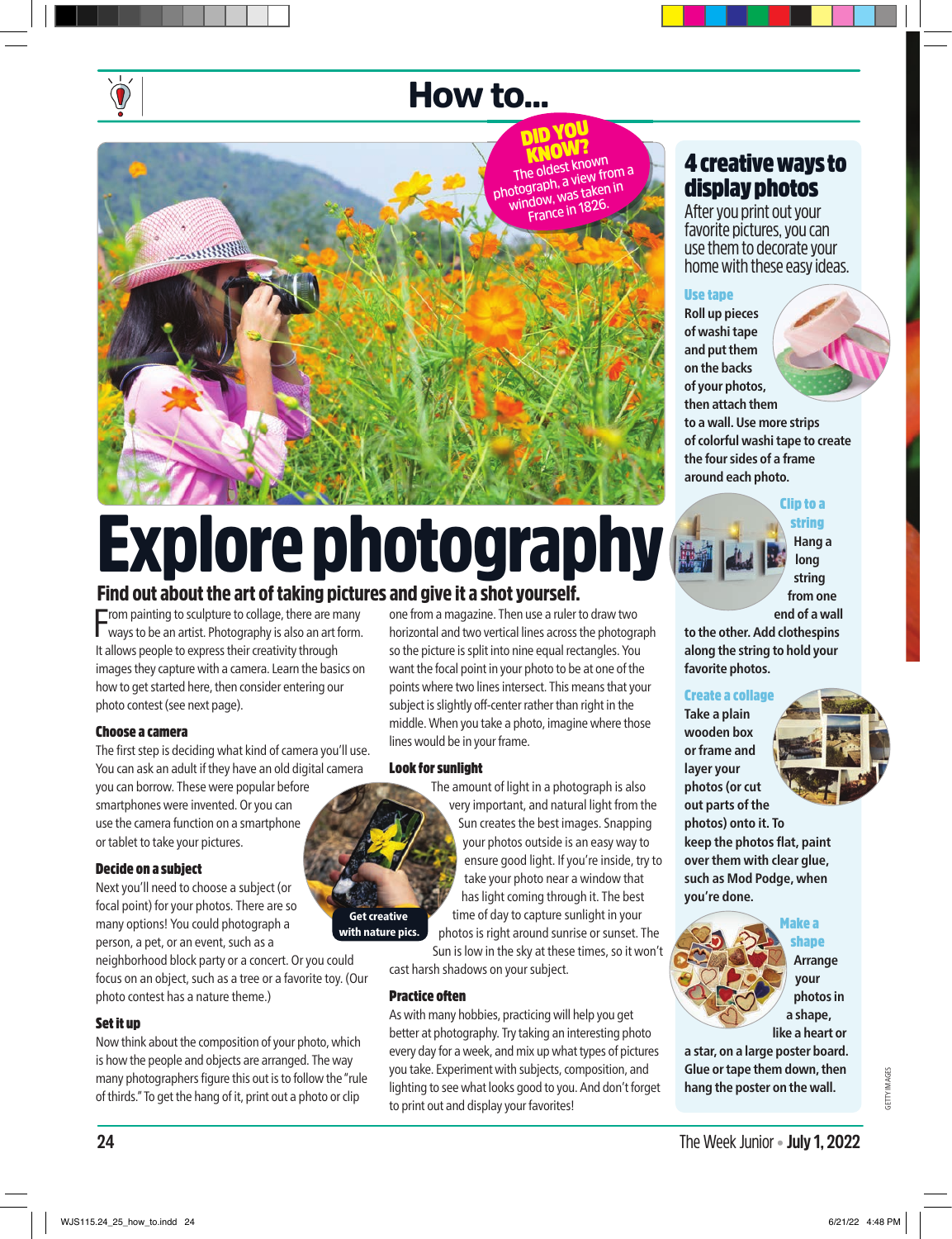### How to...

DID YOU **The oldest known photograph, a view from a window, was taken in France in 1826.** 

#### 4 creative ways to display photos

After you print out your favorite pictures, you can use them to decorate your home with these easy ideas.

#### Use tape

**Roll up pieces of washi tape and put them on the backs of your photos, then attach them to a wall. Use more strips of colorful washi tape to create the four sides of a frame around each photo.**

> Clip to a string

**Hang a long string from one end of a wall** 

**to the other. Add clothespins along the string to hold your favorite photos.**

#### Create a collage

**Take a plain wooden box or frame and layer your photos (or cut** 

**out parts of the photos) onto it. To keep the photos flat, paint over them with clear glue, such as Mod Podge, when you're done.** 



shape **Arrange your photos in** 

**a shape, like a heart or** 

**a star, on a large poster board. Glue or tape them down, then hang the poster on the wall.**

# Explore photography

#### Find out about the art of taking pictures and give it a shot yourself.

From painting to sculpture to collage, there are many<br>ways to be an artist. Photography is also an art form.  $\blacksquare$  rom painting to sculpture to collage, there are many It allows people to express their creativity through images they capture with a camera. Learn the basics on how to get started here, then consider entering our photo contest (see next page).

#### Choose a camera

The first step is deciding what kind of camera you'll use. You can ask an adult if they have an old digital camera you can borrow. These were popular before smartphones were invented. Or you can use the camera function on a smartphone or tablet to take your pictures.

#### Decide on a subject

Next you'll need to choose a subject (or focal point) for your photos. There are so many options! You could photograph a person, a pet, or an event, such as a

neighborhood block party or a concert. Or you could focus on an object, such as a tree or a favorite toy. (Our photo contest has a nature theme.)

#### Set it up

Now think about the composition of your photo, which is how the people and objects are arranged. The way many photographers figure this out is to follow the "rule of thirds." To get the hang of it, print out a photo or clip

one from a magazine. Then use a ruler to draw two horizontal and two vertical lines across the photograph so the picture is split into nine equal rectangles. You want the focal point in your photo to be at one of the points where two lines intersect. This means that your subject is slightly off-center rather than right in the middle. When you take a photo, imagine where those lines would be in your frame.

#### Look for sunlight

The amount of light in a photograph is also very important, and natural light from the Sun creates the best images. Snapping your photos outside is an easy way to ensure good light. If you're inside, try to take your photo near a window that has light coming through it. The best time of day to capture sunlight in your

photos is right around sunrise or sunset. The Sun is low in the sky at these times, so it won't

cast harsh shadows on your subject.

#### **Practice often**

Get creative with nature pics.

> As with many hobbies, practicing will help you get better at photography. Try taking an interesting photo every day for a week, and mix up what types of pictures you take. Experiment with subjects, composition, and lighting to see what looks good to you. And don't forget to print out and display your favorites!

GETTY IMAGES **IETTY IMAGES**